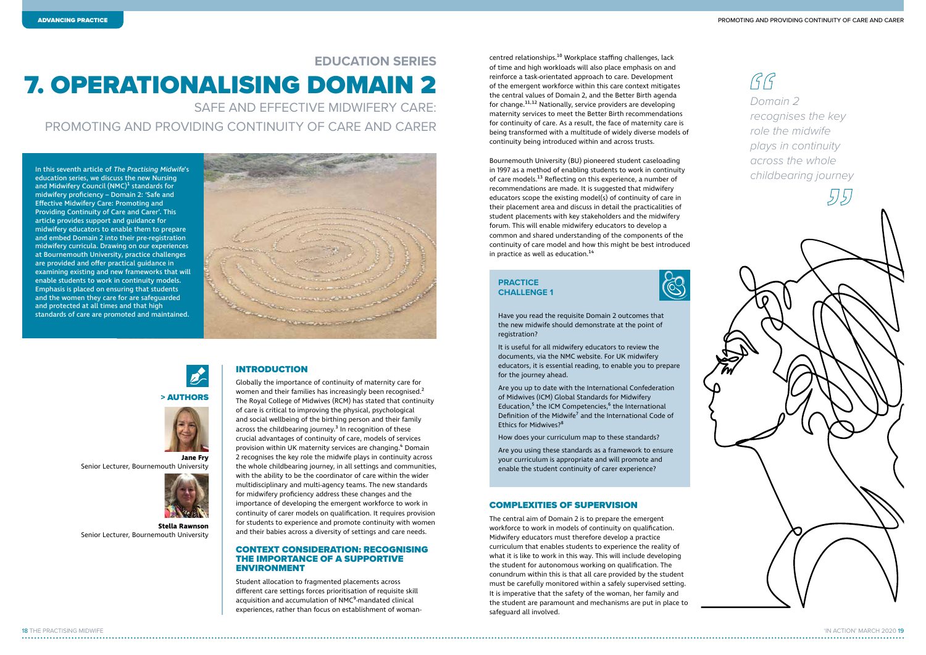'IN ACTION' MARCH 2020 19

In this seventh article of The Practising Midwife's education series, we discuss the new Nursing and Midwifery Council (NMC)<sup>1</sup> standards for midwifery proficiency – Domain 2: 'Safe and Effective Midwifery Care: Promoting and Providing Continuity of Care and Carer'. This article provides support and guidance for midwifery educators to enable them to prepare and embed Domain 2 into their pre-registration midwifery curricula. Drawing on our experiences at Bournemouth University, practice challenges are provided and offer practical guidance in examining existing and new frameworks that will enable students to work in continuity models. Emphasis is placed on ensuring that students and the women they care for are safeguarded and protected at all times and that high standards of care are promoted and maintained.





# 7. OPERATIONALISING DOMAIN 2 **EDUCATION SERIES**

SAFE AND EFFECTIVE MIDWIFERY CARE: PROMOTING AND PROVIDING CONTINUITY OF CARE AND CARER

# INTRODUCTION

Bournemouth University (BU) pioneered student caseloading in 1997 as a method of enabling students to work in continuity of care models.<sup>13</sup> Reflecting on this experience, a number of recommendations are made. It is suggested that midwifery educators scope the existing model(s) of continuity of care in their placement area and discuss in detail the practicalities of student placements with key stakeholders and the midwifery forum. This will enable midwifery educators to develop a common and shared understanding of the components of the continuity of care model and how this might be best introduced in practice as well as education.<sup>14</sup>

Globally the importance of continuity of maternity care for women and their families has increasingly been recognised.<sup>2</sup> The Royal College of Midwives (RCM) has stated that continuity of care is critical to improving the physical, psychological and social wellbeing of the birthing person and their family across the childbearing journey. $3$  In recognition of these crucial advantages of continuity of care, models of services provision within UK maternity services are changing.<sup>4</sup> Domain 2 recognises the key role the midwife plays in continuity across the whole childbearing journey, in all settings and communities, with the ability to be the coordinator of care within the wider multidisciplinary and multi-agency teams. The new standards for midwifery proficiency address these changes and the importance of developing the emergent workforce to work in continuity of carer models on qualification. It requires provision for students to experience and promote continuity with women and their babies across a diversity of settings and care needs.

#### CONTEXT CONSIDERATION: RECOGNISING THE IMPORTANCE OF A SUPPORTIVE ENVIRONMENT

Student allocation to fragmented placements across different care settings forces prioritisation of requisite skill acquisition and accumulation of NMC<sup>9</sup>-mandated clinical experiences, rather than focus on establishment of womancentred relationships.10 Workplace staffing challenges, lack of time and high workloads will also place emphasis on and reinforce a task-orientated approach to care. Development of the emergent workforce within this care context mitigates the central values of Domain 2, and the Better Birth agenda for change.11,12 Nationally, service providers are developing maternity services to meet the Better Birth recommendations for continuity of care. As a result, the face of maternity care is being transformed with a multitude of widely diverse models of continuity being introduced within and across trusts.

 $\mathcal{G} \mathcal{G}$ *Domain 2 recognises the key role the midwife plays in continuity across the whole childbearing journey*

# COMPLEXITIES OF SUPERVISION

The central aim of Domain 2 is to prepare the emergent workforce to work in models of continuity on qualification. Midwifery educators must therefore develop a practice curriculum that enables students to experience the reality of what it is like to work in this way. This will include developing the student for autonomous working on qualification. The conundrum within this is that all care provided by the student must be carefully monitored within a safely supervised setting. It is imperative that the safety of the woman, her family and the student are paramount and mechanisms are put in place to safeguard all involved.

## **PRACTICE CHALLENGE 1**



Have you read the requisite Domain 2 outcomes that the new midwife should demonstrate at the point of registration?

It is useful for all midwifery educators to review the documents, via the NMC website. For UK midwifery educators, it is essential reading, to enable you to prepare for the journey ahead.

Are you up to date with the International Confederation of Midwives (ICM) Global Standards for Midwifery Education,<sup>5</sup> the ICM Competencies,<sup>6</sup> the International Definition of the Midwife<sup>7</sup> and the International Code of Ethics for Midwives?8

How does your curriculum map to these standards?

Are you using these standards as a framework to ensure your curriculum is appropriate and will promote and enable the student continuity of carer experience?

#### > AUTHORS



Senior Lecturer, Bournemouth University



#### **Stella Rawnson** Senior Lecturer, Bournemouth University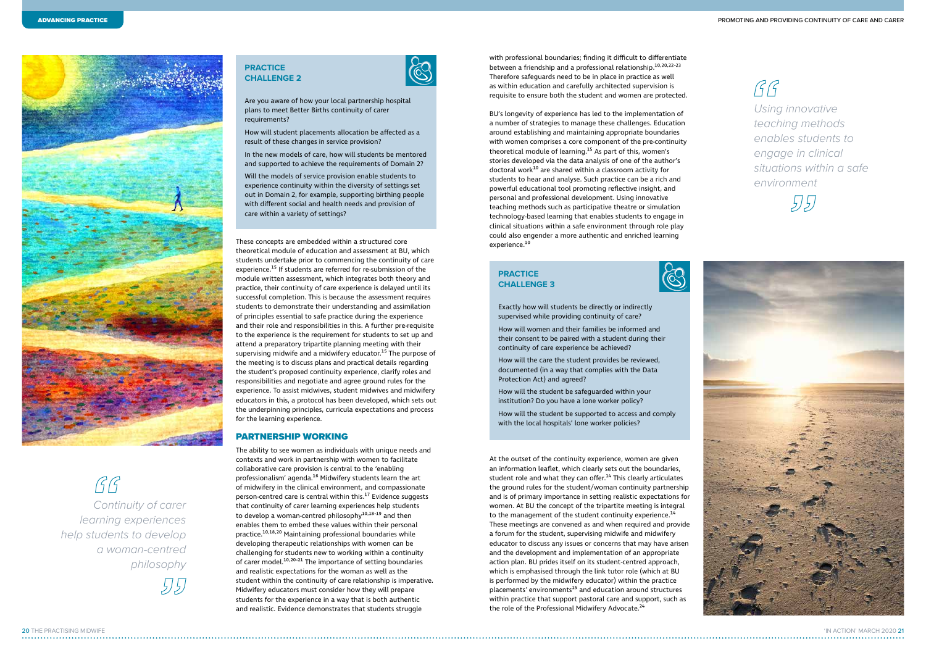

 $\mathcal{G} \mathcal{G}$ 

BU's longevity of experience has led to the implementation of a number of strategies to manage these challenges. Education around establishing and maintaining appropriate boundaries with women comprises a core component of the pre-continuity theoretical module of learning.<sup>15</sup> As part of this, women's stories developed via the data analysis of one of the author's doctoral work<sup>10</sup> are shared within a classroom activity for students to hear and analyse. Such practice can be a rich and powerful educational tool promoting reflective insight, and personal and professional development. Using innovative teaching methods such as participative theatre or simulation technology-based learning that enables students to engage in clinical situations within a safe environment through role play could also engender a more authentic and enriched learning experience.<sup>10</sup>

with professional boundaries; finding it difficult to differentiate between a friendship and a professional relationship.<sup>10,20,22-23</sup> Therefore safeguards need to be in place in practice as well as within education and carefully architected supervision is requisite to ensure both the student and women are protected.

At the outset of the continuity experience, women are given an information leaflet, which clearly sets out the boundaries, student role and what they can offer.<sup>14</sup> This clearly articulates the ground rules for the student/woman continuity partnership and is of primary importance in setting realistic expectations for women. At BU the concept of the tripartite meeting is integral to the management of the student continuity experience.<sup>14</sup> These meetings are convened as and when required and provide a forum for the student, supervising midwife and midwifery educator to discuss any issues or concerns that may have arisen and the development and implementation of an appropriate action plan. BU prides itself on its student-centred approach, which is emphasised through the link tutor role (which at BU is performed by the midwifery educator) within the practice placements' environments<sup>15</sup> and education around structures within practice that support pastoral care and support, such as the role of the Professional Midwifery Advocate.<sup>24</sup>

These concepts are embedded within a structured core theoretical module of education and assessment at BU, which students undertake prior to commencing the continuity of care experience.<sup>15</sup> If students are referred for re-submission of the module written assessment, which integrates both theory and practice, their continuity of care experience is delayed until its successful completion. This is because the assessment requires students to demonstrate their understanding and assimilation of principles essential to safe practice during the experience and their role and responsibilities in this. A further pre-requisite to the experience is the requirement for students to set up and attend a preparatory tripartite planning meeting with their supervising midwife and a midwifery educator.<sup>15</sup> The purpose of the meeting is to discuss plans and practical details regarding the student's proposed continuity experience, clarify roles and responsibilities and negotiate and agree ground rules for the experience. To assist midwives, student midwives and midwifery educators in this, a protocol has been developed, which sets out the underpinning principles, curricula expectations and process for the learning experience.

 $GG$ *Using innovative teaching methods enables students to engage in clinical situations within a safe environment*

# 515)



## PARTNERSHIP WORKING

The ability to see women as individuals with unique needs and contexts and work in partnership with women to facilitate collaborative care provision is central to the 'enabling professionalism' agenda.<sup>16</sup> Midwifery students learn the art of midwifery in the clinical environment, and compassionate person-centred care is central within this.17 Evidence suggests that continuity of carer learning experiences help students to develop a woman-centred philosophy<sup>10,18-19</sup> and then enables them to embed these values within their personal practice.10,18,20 Maintaining professional boundaries while developing therapeutic relationships with women can be challenging for students new to working within a continuity of carer model.<sup>10,20-21</sup> The importance of setting boundaries and realistic expectations for the woman as well as the student within the continuity of care relationship is imperative. Midwifery educators must consider how they will prepare students for the experience in a way that is both authentic and realistic. Evidence demonstrates that students struggle

# **PRACTICE CHALLENGE 2**



Are you aware of how your local partnership hospital plans to meet Better Births continuity of carer requirements?

How will student placements allocation be affected as a result of these changes in service provision?

In the new models of care, how will students be mentored and supported to achieve the requirements of Domain 2?

Will the models of service provision enable students to experience continuity within the diversity of settings set out in Domain 2, for example, supporting birthing people with different social and health needs and provision of care within a variety of settings?

# **PRACTICE CHALLENGE 3**



Exactly how will students be directly or indirectly supervised while providing continuity of care?

How will women and their families be informed and their consent to be paired with a student during their continuity of care experience be achieved?

How will the care the student provides be reviewed, documented (in a way that complies with the Data Protection Act) and agreed?

How will the student be safeguarded within your institution? Do you have a lone worker policy?

How will the student be supported to access and comply with the local hospitals' lone worker policies?

 *Continuity of carer learning experiences help students to develop a woman-centred philosophy*

515